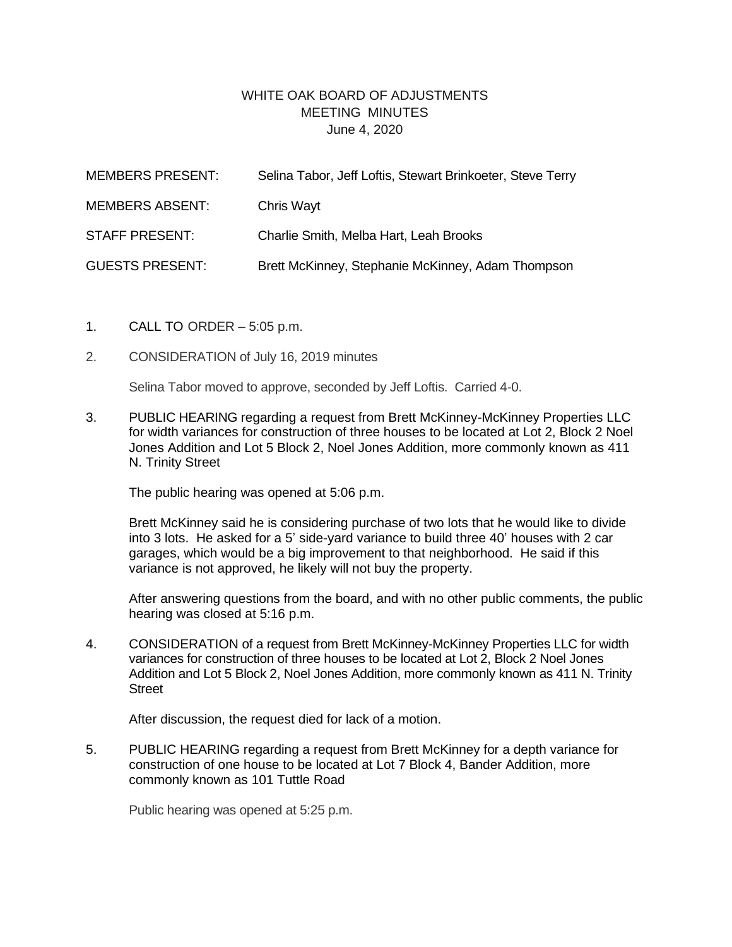## WHITE OAK BOARD OF ADJUSTMENTS MEETING MINUTES June 4, 2020

| <b>MEMBERS PRESENT:</b> | Selina Tabor, Jeff Loftis, Stewart Brinkoeter, Steve Terry |
|-------------------------|------------------------------------------------------------|
| <b>MEMBERS ABSENT:</b>  | Chris Wayt                                                 |
| <b>STAFF PRESENT:</b>   | Charlie Smith, Melba Hart, Leah Brooks                     |
| <b>GUESTS PRESENT:</b>  | Brett McKinney, Stephanie McKinney, Adam Thompson          |

- 1. CALL TO ORDER 5:05 p.m.
- 2. CONSIDERATION of July 16, 2019 minutes

Selina Tabor moved to approve, seconded by Jeff Loftis. Carried 4-0.

3. PUBLIC HEARING regarding a request from Brett McKinney-McKinney Properties LLC for width variances for construction of three houses to be located at Lot 2, Block 2 Noel Jones Addition and Lot 5 Block 2, Noel Jones Addition, more commonly known as 411 N. Trinity Street

The public hearing was opened at 5:06 p.m.

Brett McKinney said he is considering purchase of two lots that he would like to divide into 3 lots. He asked for a 5' side-yard variance to build three 40' houses with 2 car garages, which would be a big improvement to that neighborhood. He said if this variance is not approved, he likely will not buy the property.

After answering questions from the board, and with no other public comments, the public hearing was closed at 5:16 p.m.

4. CONSIDERATION of a request from Brett McKinney-McKinney Properties LLC for width variances for construction of three houses to be located at Lot 2, Block 2 Noel Jones Addition and Lot 5 Block 2, Noel Jones Addition, more commonly known as 411 N. Trinity **Street** 

After discussion, the request died for lack of a motion.

5. PUBLIC HEARING regarding a request from Brett McKinney for a depth variance for construction of one house to be located at Lot 7 Block 4, Bander Addition, more commonly known as 101 Tuttle Road

Public hearing was opened at 5:25 p.m.